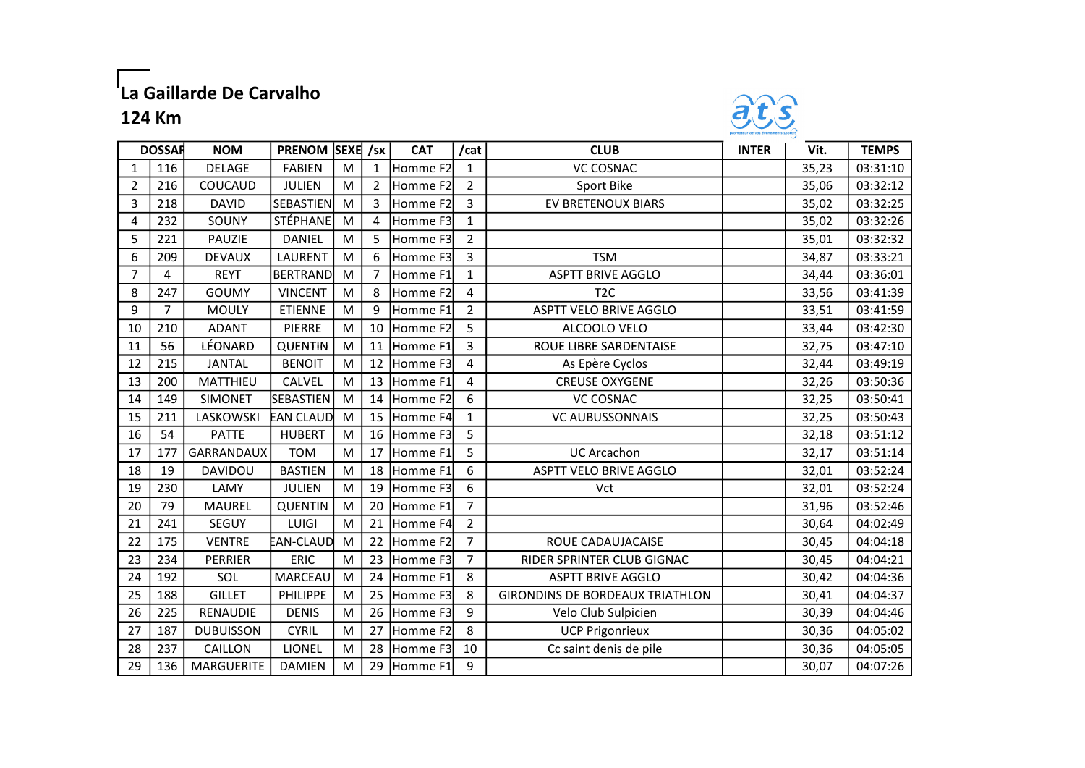## |<br>|La Gaillarde De Carvalho

## 124 Km



|                | <b>DOSSAR</b> | <b>NOM</b>        | PRENOM SEXE /sx  |   |                | <b>CAT</b>           | /cat           | <b>CLUB</b>                            | <b>INTER</b> | Vit.  | <b>TEMPS</b> |
|----------------|---------------|-------------------|------------------|---|----------------|----------------------|----------------|----------------------------------------|--------------|-------|--------------|
| 1              | 116           | <b>DELAGE</b>     | <b>FABIEN</b>    | M | 1              | Homme F2             | $\mathbf{1}$   | <b>VC COSNAC</b>                       |              | 35,23 | 03:31:10     |
| $\overline{2}$ | 216           | COUCAUD           | JULIEN           | M | $\overline{2}$ | Homme F2             | $\overline{2}$ | Sport Bike                             |              | 35,06 | 03:32:12     |
| 3              | 218           | <b>DAVID</b>      | SEBASTIEN        | M | 3              | Homme F2             | 3              | EV BRETENOUX BIARS                     |              | 35,02 | 03:32:25     |
| 4              | 232           | SOUNY             | STÉPHANE         | M | 4              | Homme F3             | $\mathbf{1}$   |                                        |              | 35,02 | 03:32:26     |
| 5              | 221           | PAUZIE            | DANIEL           | M | 5              | Homme F3             | $\overline{2}$ |                                        |              | 35,01 | 03:32:32     |
| 6              | 209           | <b>DEVAUX</b>     | LAURENT          | M | 6              | Homme F3             | 3              | <b>TSM</b>                             |              | 34,87 | 03:33:21     |
| $\overline{7}$ | 4             | <b>REYT</b>       | <b>BERTRAND</b>  | M | $\overline{7}$ | Homme F1             | $\mathbf{1}$   | <b>ASPTT BRIVE AGGLO</b>               |              | 34,44 | 03:36:01     |
| 8              | 247           | <b>GOUMY</b>      | <b>VINCENT</b>   | M | 8              | Homme F2             | 4              | T <sub>2</sub> C                       |              | 33,56 | 03:41:39     |
| 9              | 7             | <b>MOULY</b>      | <b>ETIENNE</b>   | M | 9              | Homme F1             | $\overline{2}$ | <b>ASPTT VELO BRIVE AGGLO</b>          |              | 33,51 | 03:41:59     |
| 10             | 210           | <b>ADANT</b>      | PIERRE           | M | 10             | Homme F <sub>2</sub> | 5              | ALCOOLO VELO                           |              | 33,44 | 03:42:30     |
| 11             | 56            | LÉONARD           | <b>QUENTIN</b>   | M | 11             | Homme <sub>F1</sub>  | 3              | ROUE LIBRE SARDENTAISE                 |              | 32,75 | 03:47:10     |
| 12             | 215           | <b>JANTAL</b>     | <b>BENOIT</b>    | M | 12             | Homme F3             | 4              | As Epère Cyclos                        |              | 32,44 | 03:49:19     |
| 13             | 200           | MATTHIEU          | CALVEL           | M | 13             | Homme F1             | 4              | <b>CREUSE OXYGENE</b>                  |              | 32,26 | 03:50:36     |
| 14             | 149           | <b>SIMONET</b>    | <b>SEBASTIEN</b> | M | 14             | Homme F2             | 6              | <b>VC COSNAC</b>                       |              | 32,25 | 03:50:41     |
| 15             | 211           | LASKOWSKI         | <b>EAN CLAUD</b> | M | 15             | Homme F4             | $\mathbf{1}$   | <b>VC AUBUSSONNAIS</b>                 |              | 32,25 | 03:50:43     |
| 16             | 54            | <b>PATTE</b>      | <b>HUBERT</b>    | M | 16             | Homme F3             | 5              |                                        |              | 32,18 | 03:51:12     |
| 17             | 177           | <b>GARRANDAUX</b> | <b>TOM</b>       | M | 17             | Homme F1             | 5              | <b>UC Arcachon</b>                     |              | 32,17 | 03:51:14     |
| 18             | 19            | DAVIDOU           | <b>BASTIEN</b>   | M | 18             | Homme F1             | 6              | <b>ASPTT VELO BRIVE AGGLO</b>          |              | 32,01 | 03:52:24     |
| 19             | 230           | LAMY              | <b>JULIEN</b>    | M | 19             | Homme F3             | 6              | Vct                                    |              | 32,01 | 03:52:24     |
| 20             | 79            | <b>MAUREL</b>     | <b>QUENTIN</b>   | M | 20             | Homme F1             | $\overline{7}$ |                                        |              | 31,96 | 03:52:46     |
| 21             | 241           | SEGUY             | LUIGI            | M | 21             | Homme F4             | $\overline{2}$ |                                        |              | 30,64 | 04:02:49     |
| 22             | 175           | <b>VENTRE</b>     | EAN-CLAUD        | M | 22             | Homme F2             | $\overline{7}$ | ROUE CADAUJACAISE                      |              | 30,45 | 04:04:18     |
| 23             | 234           | <b>PERRIER</b>    | ERIC             | M | 23             | Homme F3             | $\overline{7}$ | RIDER SPRINTER CLUB GIGNAC             |              | 30,45 | 04:04:21     |
| 24             | 192           | SOL               | <b>MARCEAU</b>   | M | 24             | Homme F1             | 8              | <b>ASPTT BRIVE AGGLO</b>               |              | 30,42 | 04:04:36     |
| 25             | 188           | <b>GILLET</b>     | PHILIPPE         | M | 25             | Homme F3             | 8              | <b>GIRONDINS DE BORDEAUX TRIATHLON</b> |              | 30,41 | 04:04:37     |
| 26             | 225           | <b>RENAUDIE</b>   | <b>DENIS</b>     | M | 26             | Homme F3             | 9              | Velo Club Sulpicien                    |              | 30,39 | 04:04:46     |
| 27             | 187           | <b>DUBUISSON</b>  | <b>CYRIL</b>     | M | 27             | Homme F2             | 8              | <b>UCP Prigonrieux</b>                 |              | 30,36 | 04:05:02     |
| 28             | 237           | CAILLON           | <b>LIONEL</b>    | M | 28             | Homme F3             | 10             | Cc saint denis de pile                 |              | 30,36 | 04:05:05     |
| 29             | 136           | <b>MARGUERITE</b> | <b>DAMIEN</b>    | M | 29             | Homme F1             | 9              |                                        |              | 30,07 | 04:07:26     |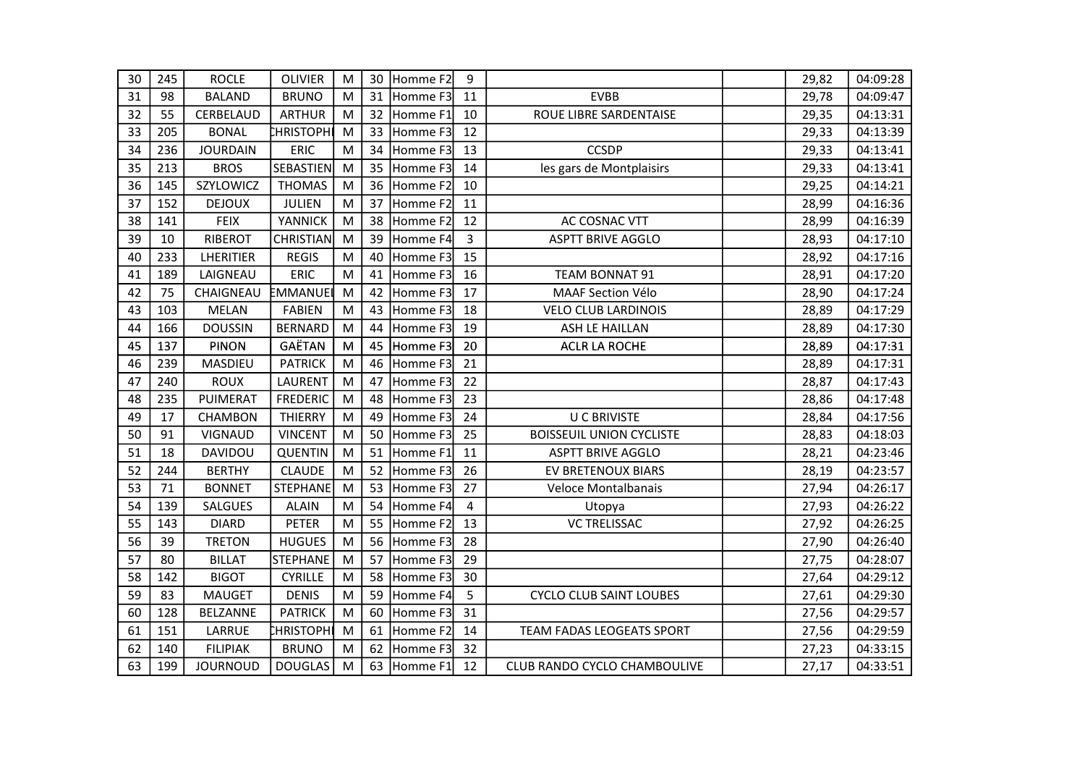| 30 | 245 | <b>ROCLE</b>    | <b>OLIVIER</b>   | M | 30 | Homme F2 | 9              |                                 | 29,82 | 04:09:28 |
|----|-----|-----------------|------------------|---|----|----------|----------------|---------------------------------|-------|----------|
| 31 | 98  | <b>BALAND</b>   | <b>BRUNO</b>     | M | 31 | Homme F3 | 11             | <b>EVBB</b>                     | 29,78 | 04:09:47 |
| 32 | 55  | CERBELAUD       | <b>ARTHUR</b>    | M | 32 | Homme F1 | 10             | ROUE LIBRE SARDENTAISE          | 29,35 | 04:13:31 |
| 33 | 205 | <b>BONAL</b>    | <b>CHRISTOPH</b> | M | 33 | Homme F3 | 12             |                                 | 29,33 | 04:13:39 |
| 34 | 236 | <b>JOURDAIN</b> | ERIC             | M | 34 | Homme F3 | 13             | <b>CCSDP</b>                    | 29,33 | 04:13:41 |
| 35 | 213 | <b>BROS</b>     | <b>SEBASTIEN</b> | M | 35 | Homme F3 | 14             | les gars de Montplaisirs        | 29,33 | 04:13:41 |
| 36 | 145 | SZYLOWICZ       | <b>THOMAS</b>    | M | 36 | Homme F2 | 10             |                                 | 29,25 | 04:14:21 |
| 37 | 152 | <b>DEJOUX</b>   | <b>JULIEN</b>    | M | 37 | Homme F2 | 11             |                                 | 28,99 | 04:16:36 |
| 38 | 141 | <b>FEIX</b>     | YANNICK          | M | 38 | Homme F2 | 12             | AC COSNAC VTT                   | 28,99 | 04:16:39 |
| 39 | 10  | RIBEROT         | <b>CHRISTIAN</b> | M | 39 | Homme F4 | $\overline{3}$ | <b>ASPTT BRIVE AGGLO</b>        | 28,93 | 04:17:10 |
| 40 | 233 | LHERITIER       | <b>REGIS</b>     | M | 40 | Homme F3 | 15             |                                 | 28,92 | 04:17:16 |
| 41 | 189 | LAIGNEAU        | <b>ERIC</b>      | M | 41 | Homme F3 | 16             | <b>TEAM BONNAT 91</b>           | 28,91 | 04:17:20 |
| 42 | 75  | CHAIGNEAU       | EMMANUE          | M | 42 | Homme F3 | 17             | <b>MAAF Section Vélo</b>        | 28,90 | 04:17:24 |
| 43 | 103 | <b>MELAN</b>    | <b>FABIEN</b>    | M | 43 | Homme F3 | 18             | <b>VELO CLUB LARDINOIS</b>      | 28,89 | 04:17:29 |
| 44 | 166 | <b>DOUSSIN</b>  | <b>BERNARD</b>   | M | 44 | Homme F3 | 19             | ASH LE HAILLAN                  | 28,89 | 04:17:30 |
| 45 | 137 | <b>PINON</b>    | GAËTAN           | M | 45 | Homme F3 | 20             | <b>ACLR LA ROCHE</b>            | 28,89 | 04:17:31 |
| 46 | 239 | MASDIEU         | <b>PATRICK</b>   | M | 46 | Homme F3 | 21             |                                 | 28,89 | 04:17:31 |
| 47 | 240 | <b>ROUX</b>     | LAURENT          | M | 47 | Homme F3 | 22             |                                 | 28,87 | 04:17:43 |
| 48 | 235 | PUIMERAT        | <b>FREDERIC</b>  | M | 48 | Homme F3 | 23             |                                 | 28,86 | 04:17:48 |
| 49 | 17  | <b>CHAMBON</b>  | <b>THIERRY</b>   | M | 49 | Homme F3 | 24             | <b>U C BRIVISTE</b>             | 28,84 | 04:17:56 |
| 50 | 91  | <b>VIGNAUD</b>  | <b>VINCENT</b>   | M | 50 | Homme F3 | 25             | <b>BOISSEUIL UNION CYCLISTE</b> | 28,83 | 04:18:03 |
| 51 | 18  | DAVIDOU         | <b>QUENTIN</b>   | M | 51 | Homme F1 | 11             | <b>ASPTT BRIVE AGGLO</b>        | 28,21 | 04:23:46 |
| 52 | 244 | <b>BERTHY</b>   | <b>CLAUDE</b>    | M | 52 | Homme F3 | 26             | EV BRETENOUX BIARS              | 28,19 | 04:23:57 |
| 53 | 71  | <b>BONNET</b>   | <b>STEPHANE</b>  | M | 53 | Homme F3 | 27             | Veloce Montalbanais             | 27,94 | 04:26:17 |
| 54 | 139 | <b>SALGUES</b>  | <b>ALAIN</b>     | M | 54 | Homme F4 | 4              | Utopya                          | 27,93 | 04:26:22 |
| 55 | 143 | <b>DIARD</b>    | PETER            | M | 55 | Homme F2 | 13             | <b>VC TRELISSAC</b>             | 27,92 | 04:26:25 |
| 56 | 39  | <b>TRETON</b>   | <b>HUGUES</b>    | M | 56 | Homme F3 | 28             |                                 | 27,90 | 04:26:40 |
| 57 | 80  | <b>BILLAT</b>   | <b>STEPHANE</b>  | M | 57 | Homme F3 | 29             |                                 | 27,75 | 04:28:07 |
| 58 | 142 | <b>BIGOT</b>    | <b>CYRILLE</b>   | M | 58 | Homme F3 | 30             |                                 | 27,64 | 04:29:12 |
| 59 | 83  | <b>MAUGET</b>   | <b>DENIS</b>     | M | 59 | Homme F4 | 5              | <b>CYCLO CLUB SAINT LOUBES</b>  | 27,61 | 04:29:30 |
| 60 | 128 | <b>BELZANNE</b> | <b>PATRICK</b>   | M | 60 | Homme F3 | 31             |                                 | 27,56 | 04:29:57 |
| 61 | 151 | LARRUE          | <b>HRISTOPH</b>  | M | 61 | Homme F2 | 14             | TEAM FADAS LEOGEATS SPORT       | 27,56 | 04:29:59 |
| 62 | 140 | <b>FILIPIAK</b> | <b>BRUNO</b>     | M | 62 | Homme F3 | 32             |                                 | 27,23 | 04:33:15 |
| 63 | 199 | <b>JOURNOUD</b> | <b>DOUGLAS</b>   | M | 63 | Homme F1 | 12             | CLUB RANDO CYCLO CHAMBOULIVE    | 27,17 | 04:33:51 |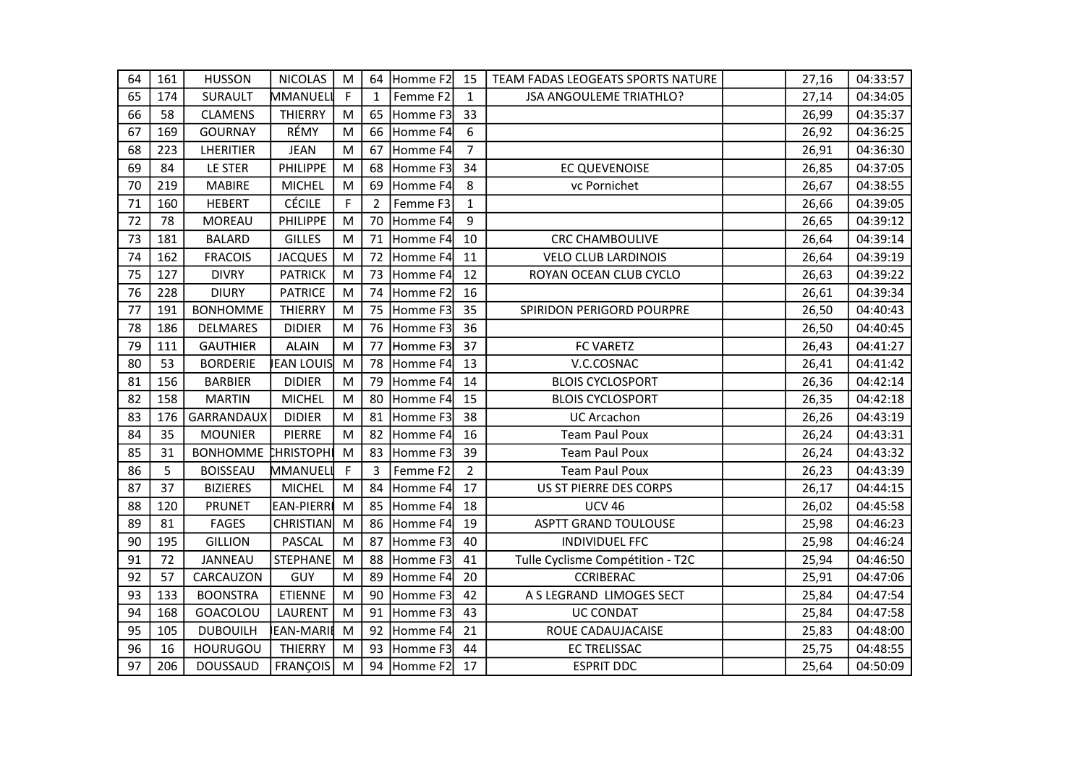| 64 | 161 | <b>HUSSON</b>   | <b>NICOLAS</b>   | M | 64             | Homme F2    | 15             | TEAM FADAS LEOGEATS SPORTS NATURE | 27,16 | 04:33:57 |
|----|-----|-----------------|------------------|---|----------------|-------------|----------------|-----------------------------------|-------|----------|
| 65 | 174 | <b>SURAULT</b>  | MMANUEL          | F | $\mathbf{1}$   | Femme F2    | $\mathbf{1}$   | <b>JSA ANGOULEME TRIATHLO?</b>    | 27,14 | 04:34:05 |
| 66 | 58  | <b>CLAMENS</b>  | <b>THIERRY</b>   | M | 65             | Homme F3    | 33             |                                   | 26,99 | 04:35:37 |
| 67 | 169 | <b>GOURNAY</b>  | RÉMY             | M | 66             | Homme F4    | 6              |                                   | 26,92 | 04:36:25 |
| 68 | 223 | LHERITIER       | <b>JEAN</b>      | M | 67             | Homme F4    | $\overline{7}$ |                                   | 26,91 | 04:36:30 |
| 69 | 84  | LE STER         | <b>PHILIPPE</b>  | M | 68             | Homme F3    | 34             | EC QUEVENOISE                     | 26,85 | 04:37:05 |
| 70 | 219 | <b>MABIRE</b>   | <b>MICHEL</b>    | M | 69             | Homme F4    | 8              | vc Pornichet                      | 26,67 | 04:38:55 |
| 71 | 160 | <b>HEBERT</b>   | <b>CÉCILE</b>    | F | $\overline{2}$ | Femme F3    | $\mathbf{1}$   |                                   | 26,66 | 04:39:05 |
| 72 | 78  | <b>MOREAU</b>   | PHILIPPE         | M | 70             | Homme F4    | 9              |                                   | 26,65 | 04:39:12 |
| 73 | 181 | <b>BALARD</b>   | <b>GILLES</b>    | M | 71             | Homme F4    | 10             | <b>CRC CHAMBOULIVE</b>            | 26,64 | 04:39:14 |
| 74 | 162 | <b>FRACOIS</b>  | <b>JACQUES</b>   | M | 72             | Homme F4    | 11             | <b>VELO CLUB LARDINOIS</b>        | 26,64 | 04:39:19 |
| 75 | 127 | <b>DIVRY</b>    | <b>PATRICK</b>   | M | 73             | Homme F4    | 12             | ROYAN OCEAN CLUB CYCLO            | 26,63 | 04:39:22 |
| 76 | 228 | <b>DIURY</b>    | <b>PATRICE</b>   | M | 74             | Homme F2    | 16             |                                   | 26,61 | 04:39:34 |
| 77 | 191 | <b>BONHOMME</b> | <b>THIERRY</b>   | M | 75             | Homme F3    | 35             | SPIRIDON PERIGORD POURPRE         | 26,50 | 04:40:43 |
| 78 | 186 | <b>DELMARES</b> | <b>DIDIER</b>    | M | 76             | Homme F3    | 36             |                                   | 26,50 | 04:40:45 |
| 79 | 111 | <b>GAUTHIER</b> | <b>ALAIN</b>     | M | 77             | Homme F3    | 37             | <b>FC VARETZ</b>                  | 26,43 | 04:41:27 |
| 80 | 53  | <b>BORDERIE</b> | <b>EAN LOUIS</b> | M | 78             | Homme F4    | 13             | V.C.COSNAC                        | 26,41 | 04:41:42 |
| 81 | 156 | <b>BARBIER</b>  | <b>DIDIER</b>    | M | 79             | Homme F4    | 14             | <b>BLOIS CYCLOSPORT</b>           | 26,36 | 04:42:14 |
| 82 | 158 | <b>MARTIN</b>   | <b>MICHEL</b>    | M | 80             | Homme F4    | 15             | <b>BLOIS CYCLOSPORT</b>           | 26,35 | 04:42:18 |
| 83 | 176 | GARRANDAUX      | <b>DIDIER</b>    | M | 81             | Homme F3    | 38             | <b>UC Arcachon</b>                | 26,26 | 04:43:19 |
| 84 | 35  | <b>MOUNIER</b>  | PIERRE           | M | 82             | Homme F4    | 16             | <b>Team Paul Poux</b>             | 26,24 | 04:43:31 |
| 85 | 31  | <b>BONHOMME</b> | <b>CHRISTOPH</b> | M | 83             | Homme F3    | 39             | <b>Team Paul Poux</b>             | 26,24 | 04:43:32 |
| 86 | 5   | <b>BOISSEAU</b> | MMANUELI         | F | $\overline{3}$ | Femme F2    | $\overline{2}$ | <b>Team Paul Poux</b>             | 26,23 | 04:43:39 |
| 87 | 37  | <b>BIZIERES</b> | <b>MICHEL</b>    | M | 84             | Homme F4    | 17             | US ST PIERRE DES CORPS            | 26,17 | 04:44:15 |
| 88 | 120 | <b>PRUNET</b>   | EAN-PIERR        | M | 85             | Homme F4    | 18             | <b>UCV 46</b>                     | 26,02 | 04:45:58 |
| 89 | 81  | <b>FAGES</b>    | <b>CHRISTIAN</b> | M | 86             | Homme F4    | 19             | <b>ASPTT GRAND TOULOUSE</b>       | 25,98 | 04:46:23 |
| 90 | 195 | <b>GILLION</b>  | PASCAL           | M | 87             | Homme F3    | 40             | <b>INDIVIDUEL FFC</b>             | 25,98 | 04:46:24 |
| 91 | 72  | JANNEAU         | <b>STEPHANE</b>  | M | 88             | Homme F3    | 41             | Tulle Cyclisme Compétition - T2C  | 25,94 | 04:46:50 |
| 92 | 57  | CARCAUZON       | <b>GUY</b>       | M | 89             | Homme F4    | 20             | <b>CCRIBERAC</b>                  | 25,91 | 04:47:06 |
| 93 | 133 | <b>BOONSTRA</b> | <b>ETIENNE</b>   | M | 90             | Homme F3    | 42             | A S LEGRAND LIMOGES SECT          | 25,84 | 04:47:54 |
| 94 | 168 | GOACOLOU        | LAURENT          | M | 91             | Homme F3    | 43             | <b>UC CONDAT</b>                  | 25,84 | 04:47:58 |
| 95 | 105 | <b>DUBOUILH</b> | EAN-MARIE        | M | 92             | Homme F4    | 21             | ROUE CADAUJACAISE                 | 25,83 | 04:48:00 |
| 96 | 16  | HOURUGOU        | THIERRY          | M | 93             | Homme F3    | 44             | <b>EC TRELISSAC</b>               | 25,75 | 04:48:55 |
| 97 | 206 | <b>DOUSSAUD</b> | <b>FRANÇOIS</b>  | M |                | 94 Homme F2 | 17             | <b>ESPRIT DDC</b>                 | 25,64 | 04:50:09 |